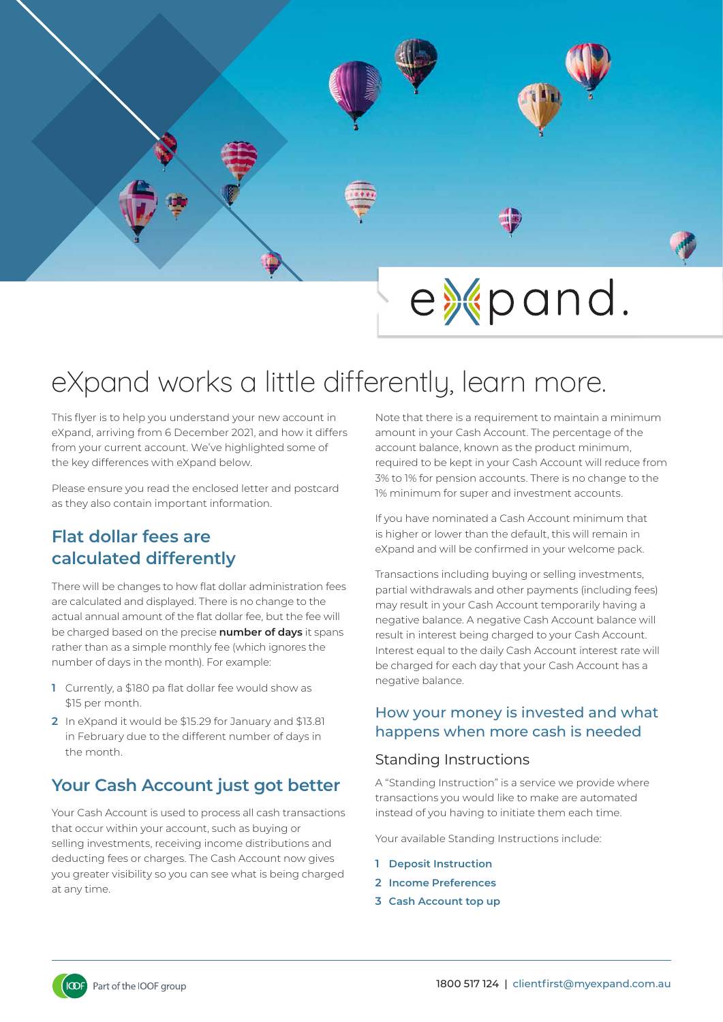

# eXpand works a little differently, learn more.

This flyer is to help you understand your new account in eXpand, arriving from 6 December 2021, and how it differs from your current account. We've highlighted some of the key differences with eXpand below.

Please ensure you read the enclosed letter and postcard as they also contain important information.

## **Flat dollar fees are calculated differently**

There will be changes to how flat dollar administration fees are calculated and displayed. There is no change to the actual annual amount of the flat dollar fee, but the fee will be charged based on the precise **number of days** it spans rather than as a simple monthly fee (which ignores the number of days in the month). For example:

- **1** Currently, a \$180 pa flat dollar fee would show as \$15 per month.
- **2** In eXpand it would be \$15.29 for January and \$13.81 in February due to the different number of days in the month.

# **Your Cash Account just got better**

Your Cash Account is used to process all cash transactions that occur within your account, such as buying or selling investments, receiving income distributions and deducting fees or charges. The Cash Account now gives you greater visibility so you can see what is being charged at any time.

Note that there is a requirement to maintain a minimum amount in your Cash Account. The percentage of the account balance, known as the product minimum, required to be kept in your Cash Account will reduce from 3% to 1% for pension accounts. There is no change to the 1% minimum for super and investment accounts.

If you have nominated a Cash Account minimum that is higher or lower than the default, this will remain in eXpand and will be confirmed in your welcome pack.

Transactions including buying or selling investments, partial withdrawals and other payments (including fees) may result in your Cash Account temporarily having a negative balance. A negative Cash Account balance will result in interest being charged to your Cash Account. Interest equal to the daily Cash Account interest rate will be charged for each day that your Cash Account has a negative balance.

### How your money is invested and what happens when more cash is needed

### Standing Instructions

A "Standing Instruction" is a service we provide where transactions you would like to make are automated instead of you having to initiate them each time.

Your available Standing Instructions include:

- **1 Deposit Instruction**
- **2 Income Preferences**
- **3 Cash Account top up**